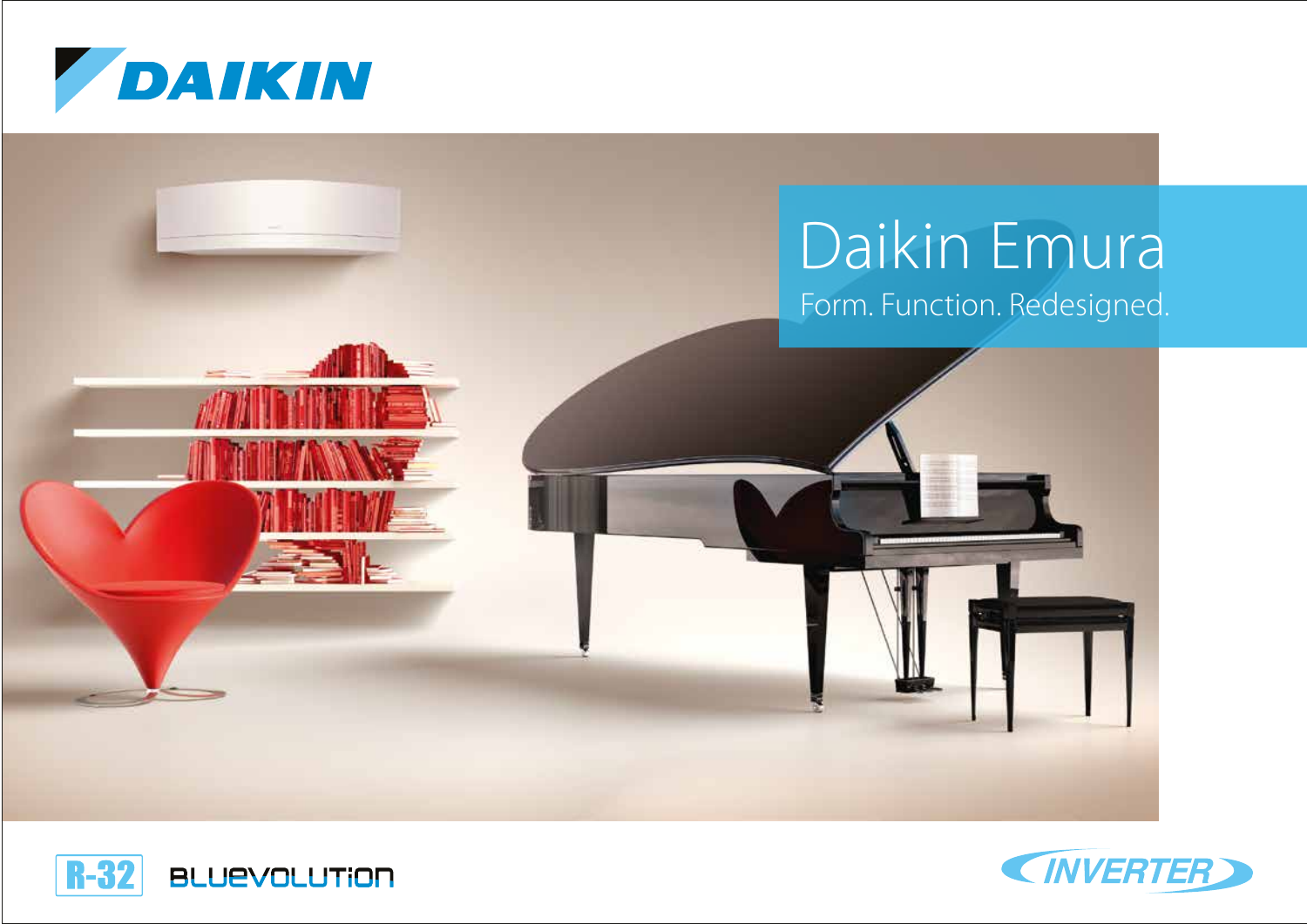





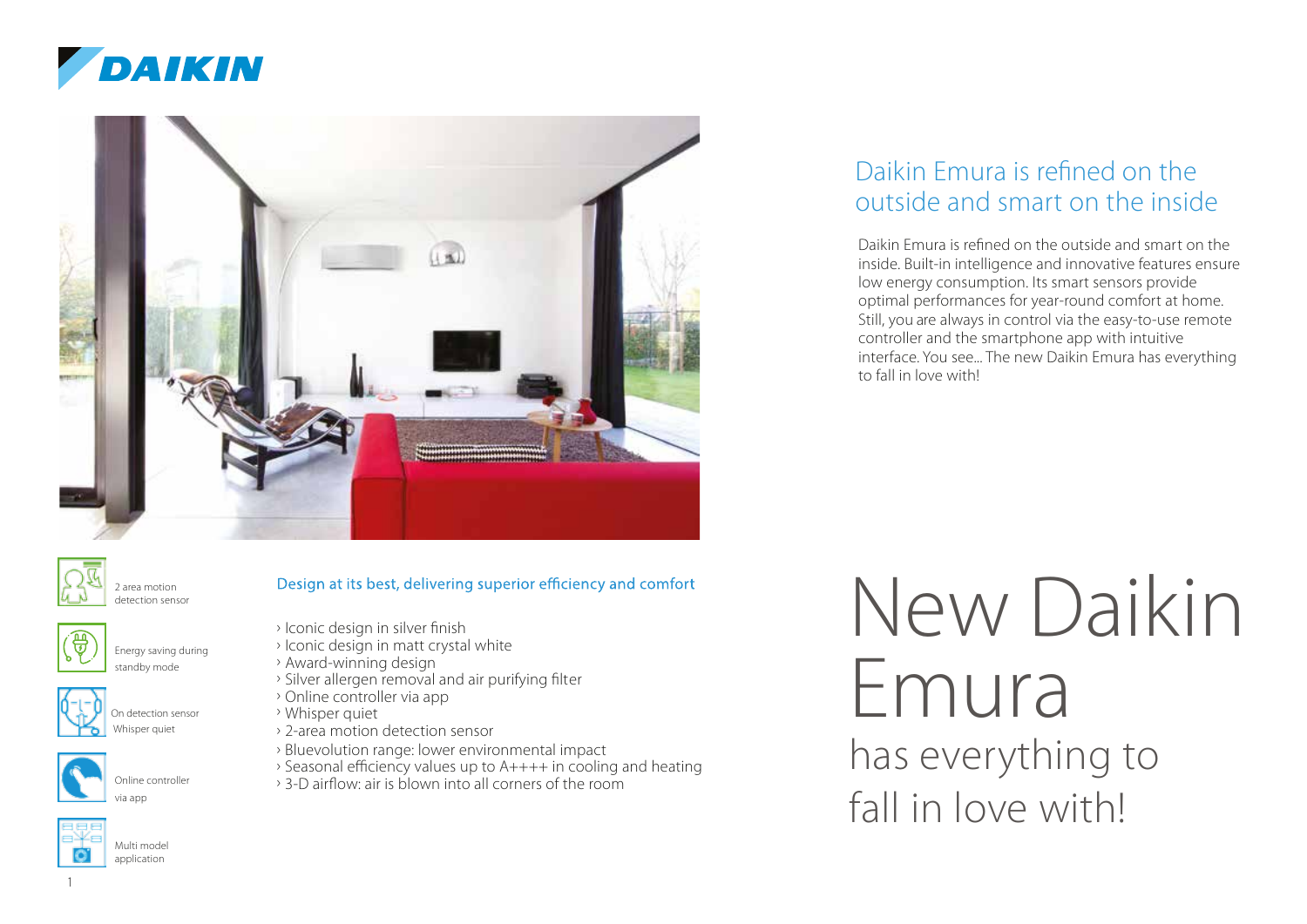





2 area motion detection sensor









- 
- 
- › Iconic design in silver finish
- › Iconic design in matt crystal white
- › Award-winning design
- › Silver allergen removal and air purifying filter
- › Online controller via app
- › Whisper quiet
- › 2-area motion detection sensor
- › Bluevolution range: lower environmental impact
- › Seasonal efficiency values up to A++++ in cooling and heating

Design at its best, delivering superior efficiency and comfort

› 3-D airflow: air is blown into all corners of the room

### Daikin Emura is refined on the outside and smart on the inside

Daikin Emura is refined on the outside and smart on the inside. Built-in intelligence and innovative features ensure low energy consumption. Its smart sensors provide optimal performances for year-round comfort at home. Still, you are always in control via the easy-to-use remote controller and the smartphone app with intuitive interface. You see... The new Daikin Emura has everything to fall in love with!

New Daikin Emura has everything to fall in love with!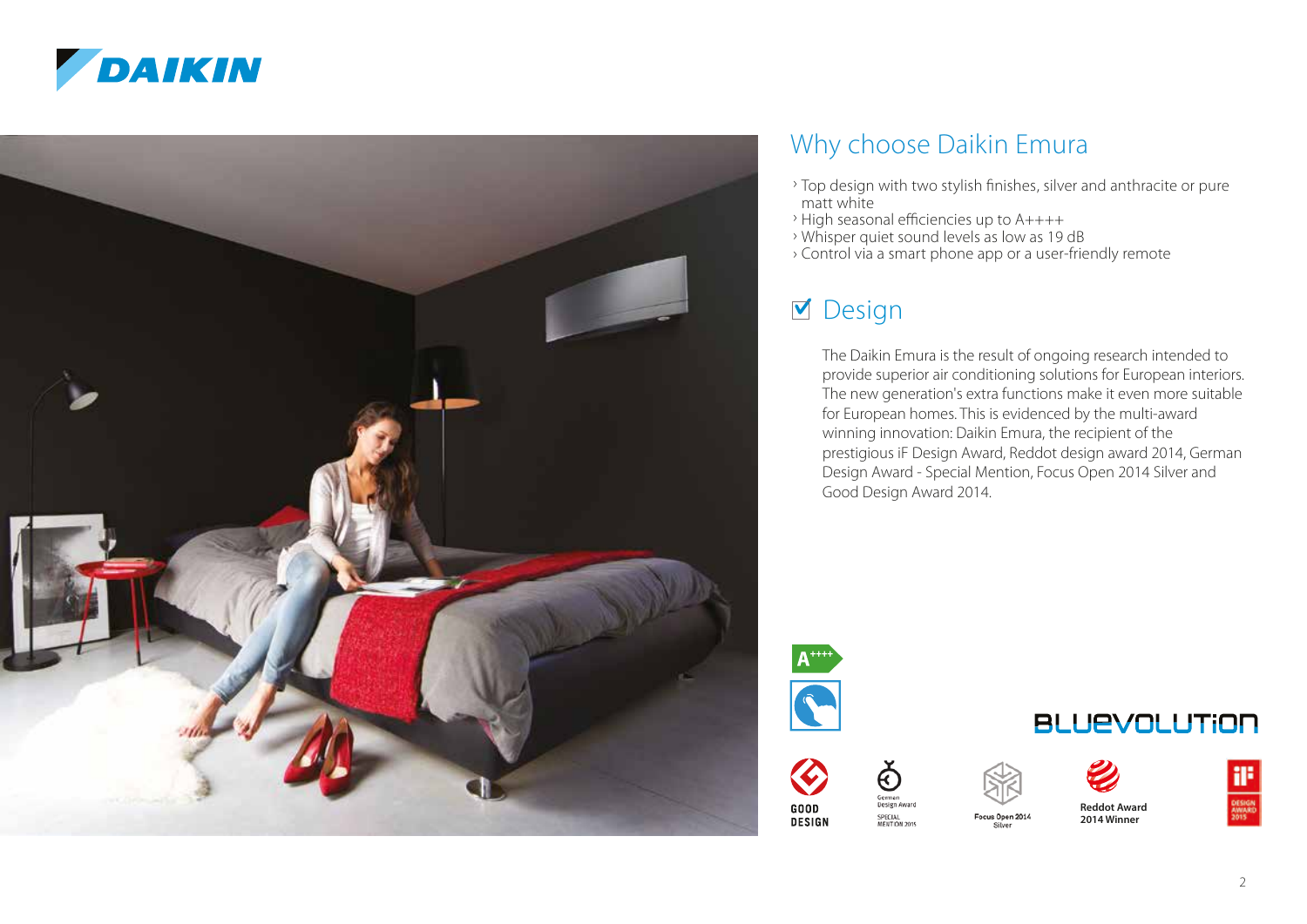



### Why choose Daikin Emura

- › Top design with two stylish finishes, silver and anthracite or pure matt white
- › High seasonal efficiencies up to A++++
- › Whisper quiet sound levels as low as 19 dB
- › Control via a smart phone app or a user-friendly remote

### **M** Design

The Daikin Emura is the result of ongoing research intended to provide superior air conditioning solutions for European interiors. The new generation's extra functions make it even more suitable for European homes. This is evidenced by the multi-award winning innovation: Daikin Emura, the recipient of the prestigious iF Design Award, Reddot design award 2014, German Design Award - Special Mention, Focus Open 2014 Silver and Good Design Award 2014.





ନ୍ମ





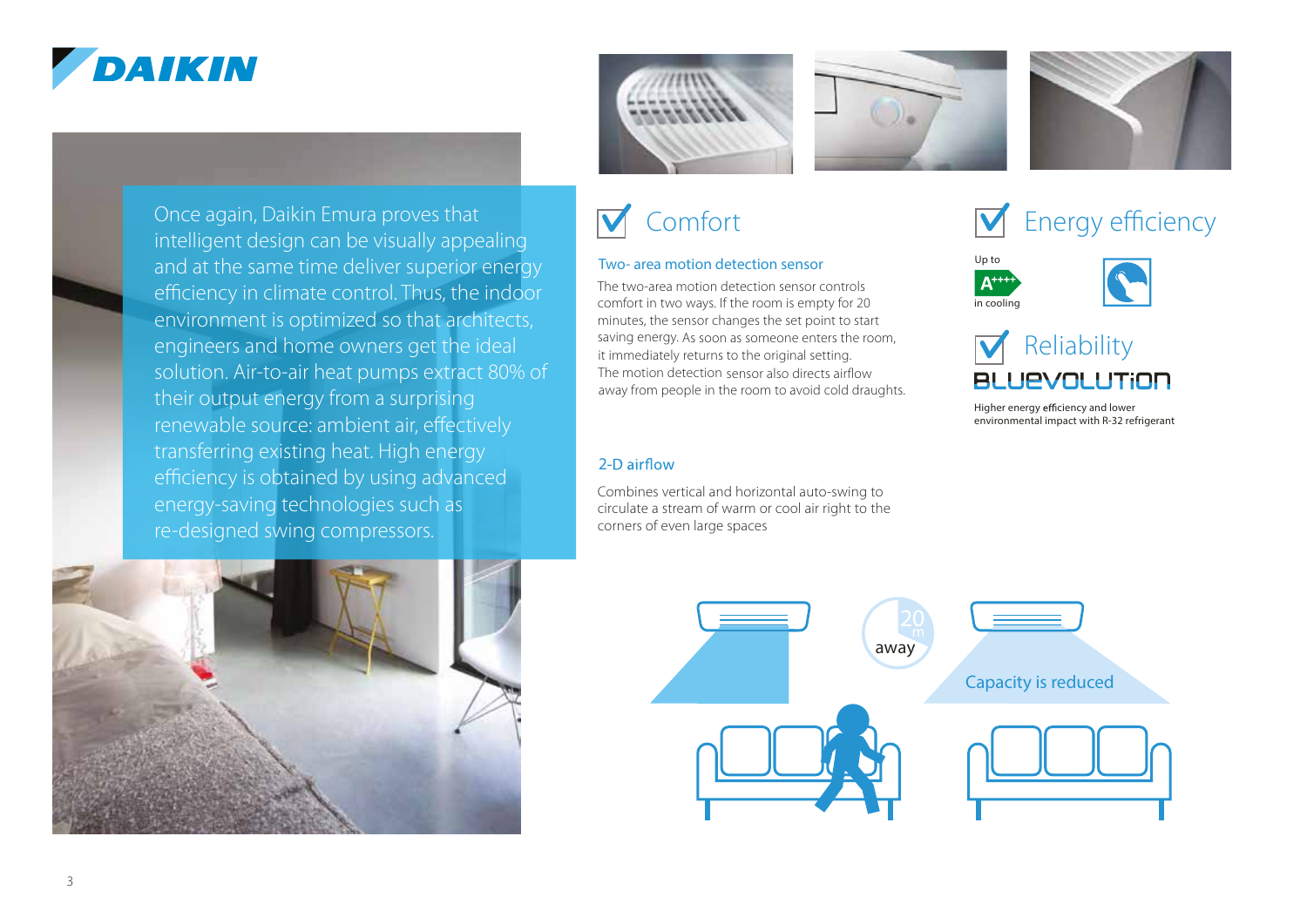# DAIKIN







## Comfort

### Two- area motion detection sensor<br>The two-area motion detection sensor controls

The two-area motion detection sensor controls comfort in two ways. If the room is empty for 20 minutes, the sensor changes the set point to start saving energy. As soon as someone enters the room, it immediately returns to the original setting. The motion detection sensor also directs airflow away from people in the room to avoid cold draughts.

#### 2-D airflow

Combines vertical and horizontal auto-swing to circulate a stream of warm or cool air right to the corners of even large spaces









Higher energy efficiency and lower environmental impact with R-32 refrigerant



Once again, Daikin Emura proves that

their output energy from a surprising

energy-saving technologies such as re-designed swing compressors.

renewable source: ambient air, effectively transferring existing heat. High energy efficiency is obtained by using advanced

intelligent design can be visually appealing and at the same time deliver superior energy efficiency in climate control. Thus, the indoor environment is optimized so that architects, engineers and home owners get the ideal solution. Air-to-air heat pumps extract 80% of

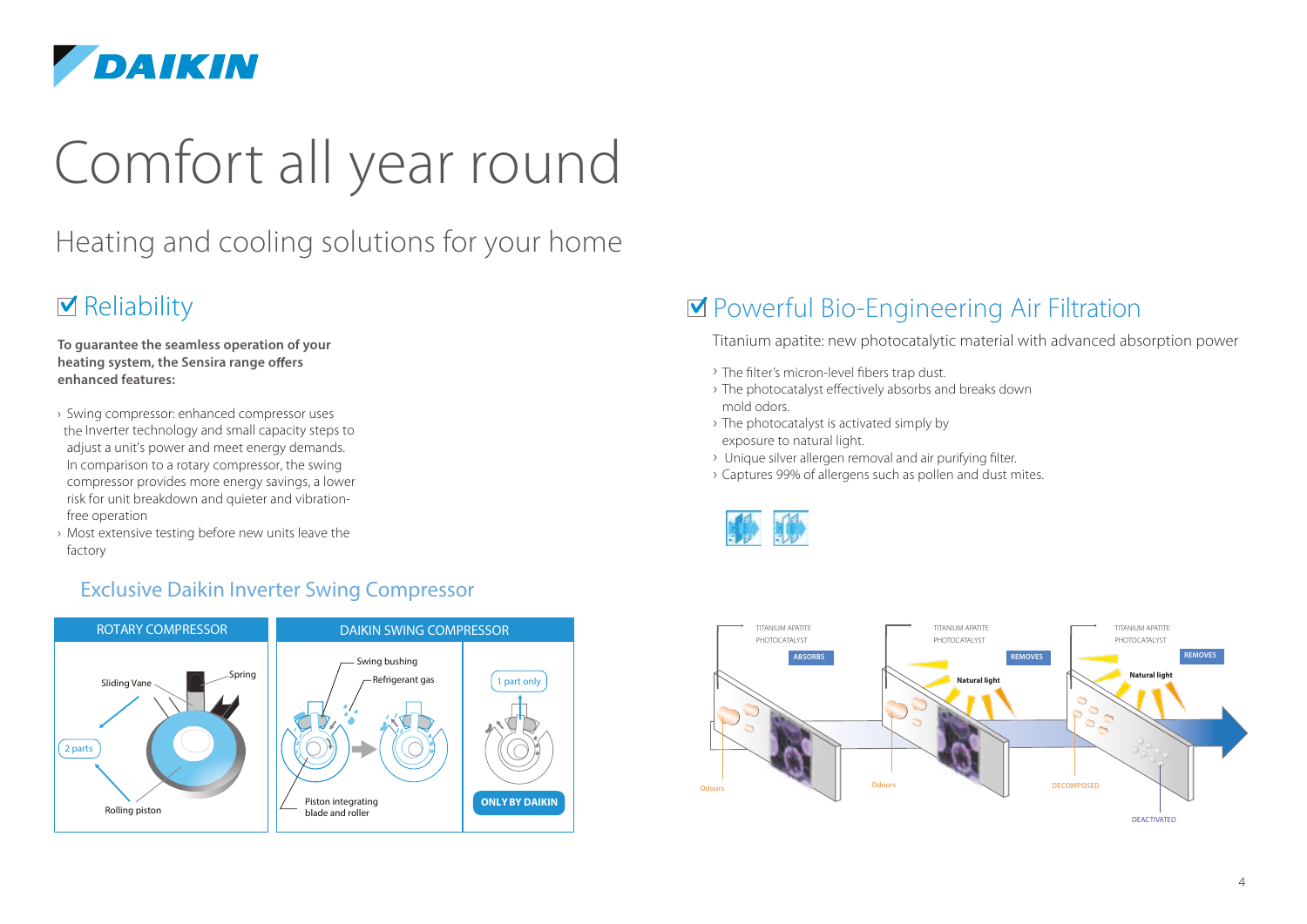

# Comfort all year round

### Heating and cooling solutions for your home

### $\blacksquare$  Reliability

**To guarantee the seamless operation of your heating system, the Sensira range offers enhanced features:** 

- › Swing compressor: enhanced compressor uses the Inverter technology and small capacity steps to adjust a unit's power and meet energy demands. In comparison to a rotary compressor, the swing compressor provides more energy savings, a lower risk for unit breakdown and quieter and vibrationfree operation
- › Most extensive testing before new units leave the factory

### Exclusive Daikin Inverter Swing Compressor



### ■ Powerful Bio-Engineering Air Filtration

Titanium apatite: new photocatalytic material with advanced absorption power

- › The filter's micron-level fibers trap dust.
- › The photocatalyst effectively absorbs and breaks down mold odors.
- › The photocatalyst is activated simply by exposure to natural light.
- › Unique silver allergen removal and air purifying filter.
- › Captures 99% of allergens such as pollen and dust mites.



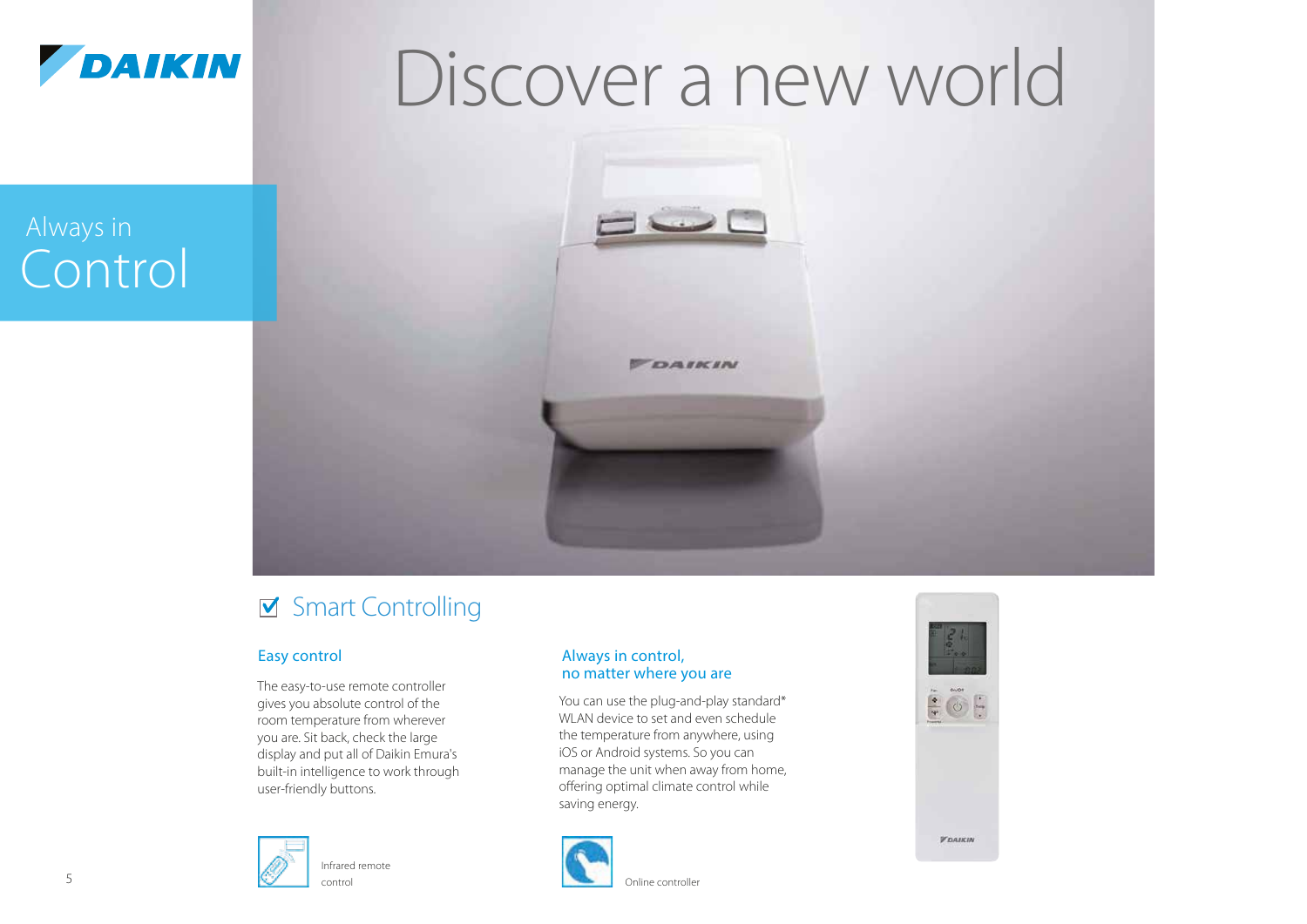

# Discover a new world

# Always in Control



### Smart Controlling

The easy-to-use remote controller gives you absolute control of the room temperature from wherever you are. Sit back, check the large display and put all of Daikin Emura's built-in intelligence to work through user-friendly buttons.



#### Easy control **Easy** control, no matter where you are

You can use the plug-and-play standard\* WLAN device to set and even schedule the temperature from anywhere, using iOS or Android systems. So you can manage the unit when away from home, offering optimal climate control while saving energy.





5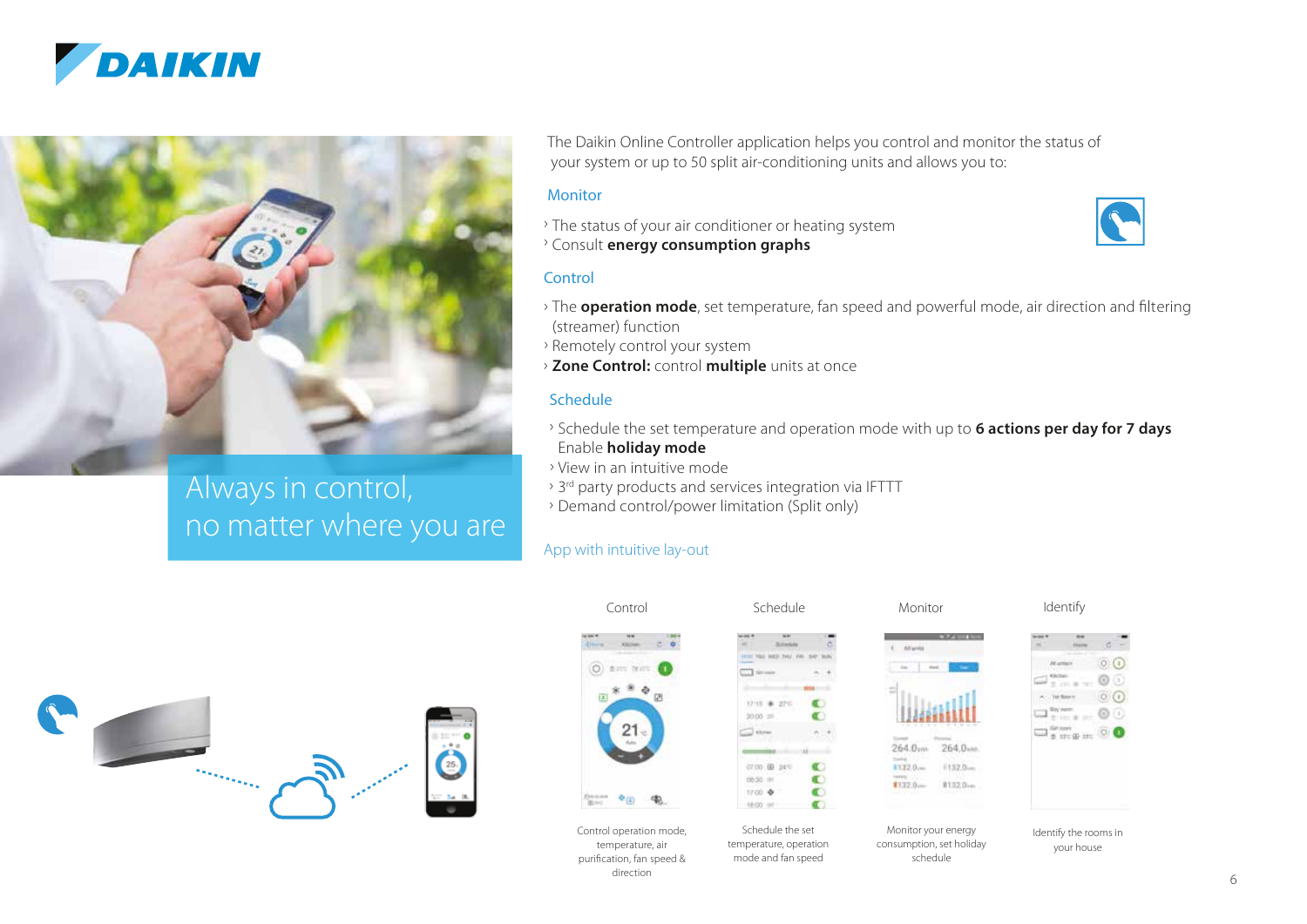



Always in control, no matter where you are The Daikin Online Controller application helps you control and monitor the status of your system or up to 50 split air-conditioning units and allows you to:

#### **Monitor**

› The status of your air conditioner or heating system › Consult **energy consumption graphs**



#### **Control**

- › The **operation mode**, set temperature, fan speed and powerful mode, air direction and filtering (streamer) function
- › Remotely control your system
- › **Zone Control:** control **multiple** units at once

#### **Schedule**

- › Schedule the set temperature and operation mode with up to **6 actions per day for 7 days** Enable **holiday mode**
- › View in an intuitive mode
- <sup>></sup> 3<sup>rd</sup> party products and services integration via IFTTT
- › Demand control/power limitation (Split only)

#### App with intuitive lay-out





temperature, air purification, fan speed & direction

temperature, operation mode and fan speed





Monitor your energy consumption, set holiday schedule

81320-

 $1122.0 -$ 

 $1320 -$ 

 $\circ$   $\circ$ 

 $\sim 00$ where  $\odot$   $\odot$ 

Identify the rooms in your house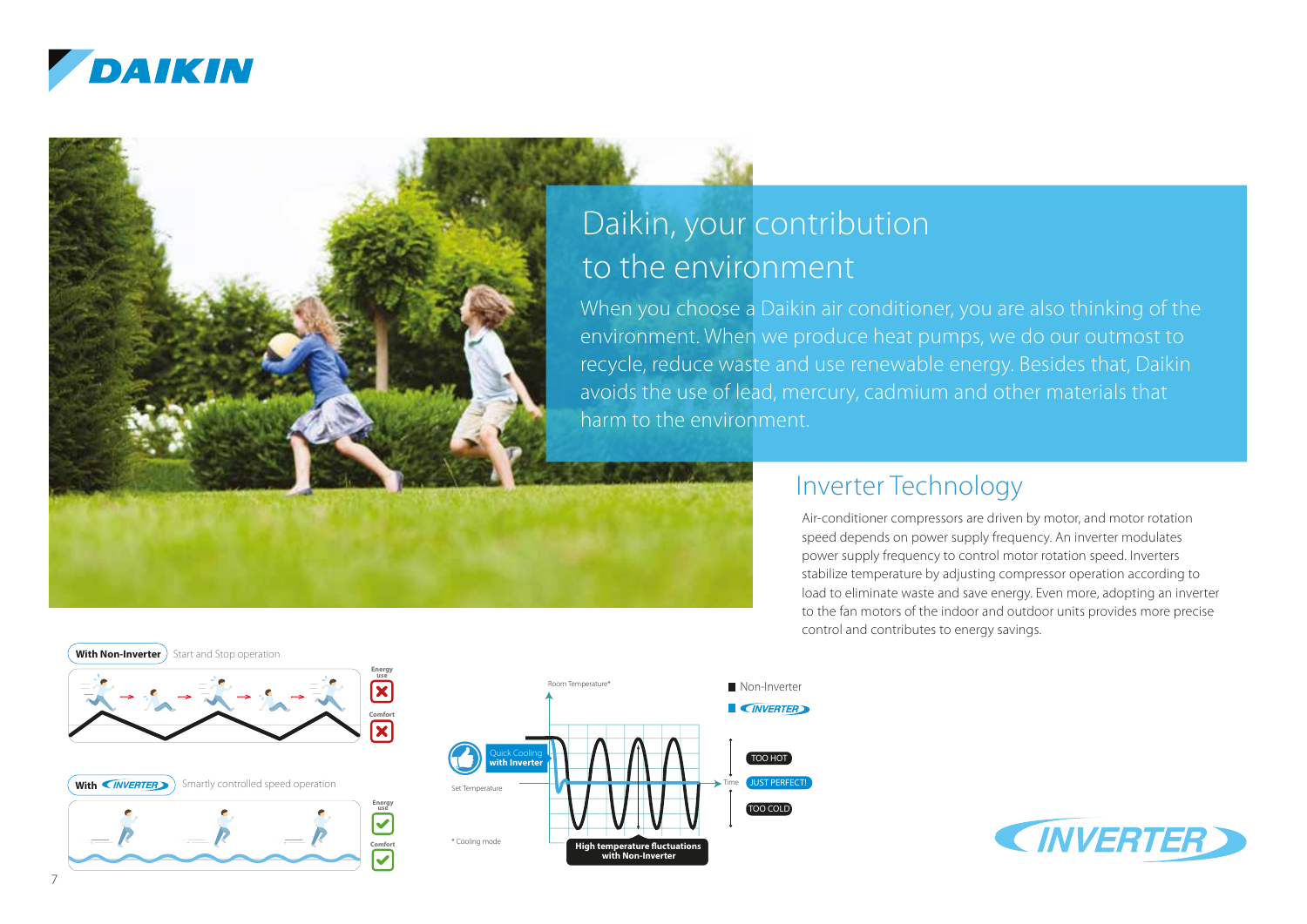

### Daikin, your contribution to the environment

When you choose a Daikin air conditioner, you are also thinking of the environment. When we produce heat pumps, we do our outmost to recycle, reduce waste and use renewable energy. Besides that, Daikin avoids the use of lead, mercury, cadmium and other materials that harm to the environment.

### Inverter Technology

Air-conditioner compressors are driven by motor, and motor rotation speed depends on power supply frequency. An inverter modulates power supply frequency to control motor rotation speed. Inverters stabilize temperature by adjusting compressor operation according to load to eliminate waste and save energy. Even more, adopting an inverter to the fan motors of the indoor and outdoor units provides more precise control and contributes to energy savings.



**Comfort**





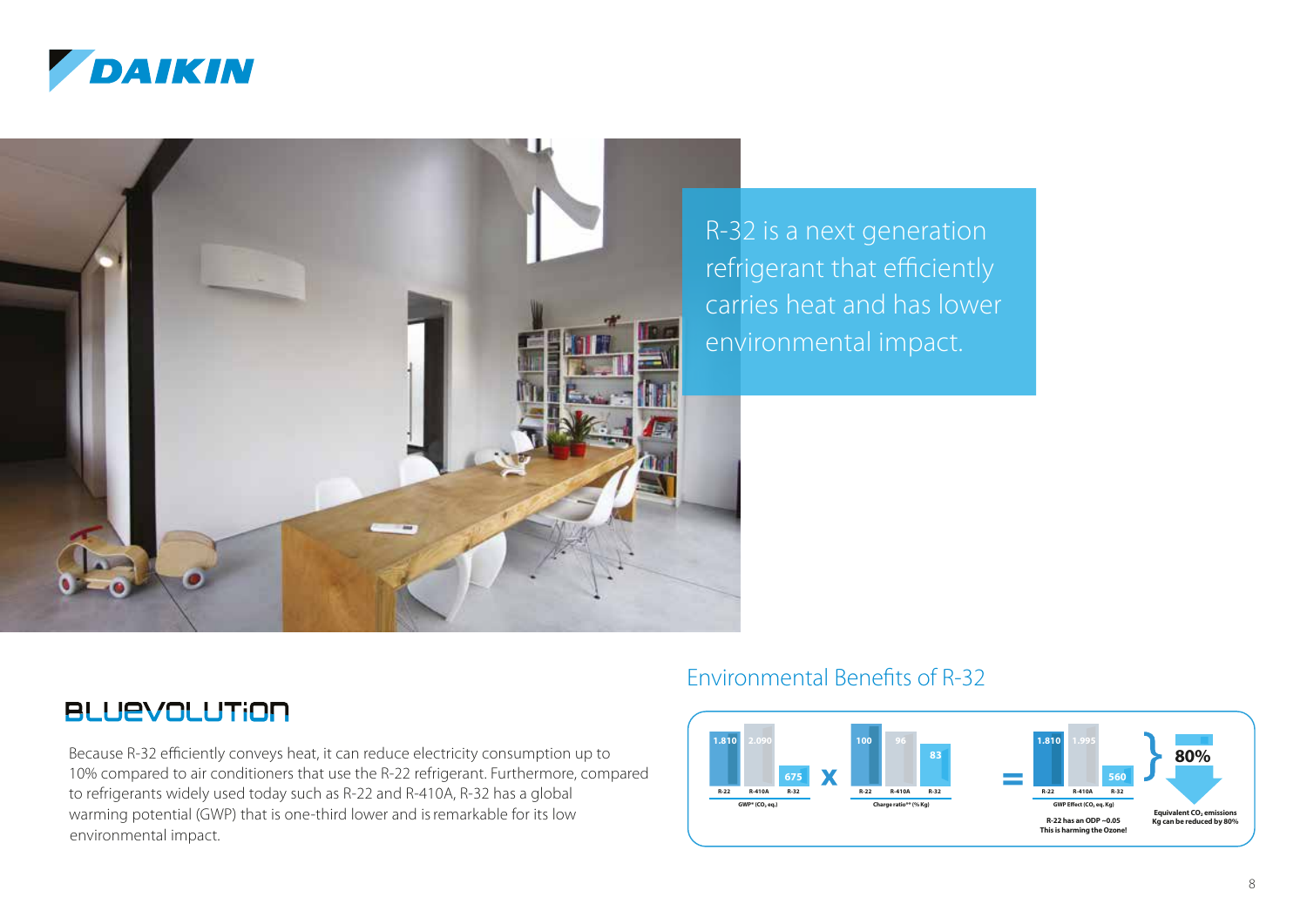



R-32 is a next generation refrigerant that efficiently carries heat and has lower environmental impact.

### **BLUEVOLUTION**

Because R-32 efficiently conveys heat, it can reduce electricity consumption up to 10% compared to air conditioners that use the R-22 refrigerant. Furthermore, compared to refrigerants widely used today such as R-22 and R-410A, R-32 has a global warming potential (GWP) that is one-third lower and isremarkable for its low environmental impact.

### Environmental Benefits of R-32

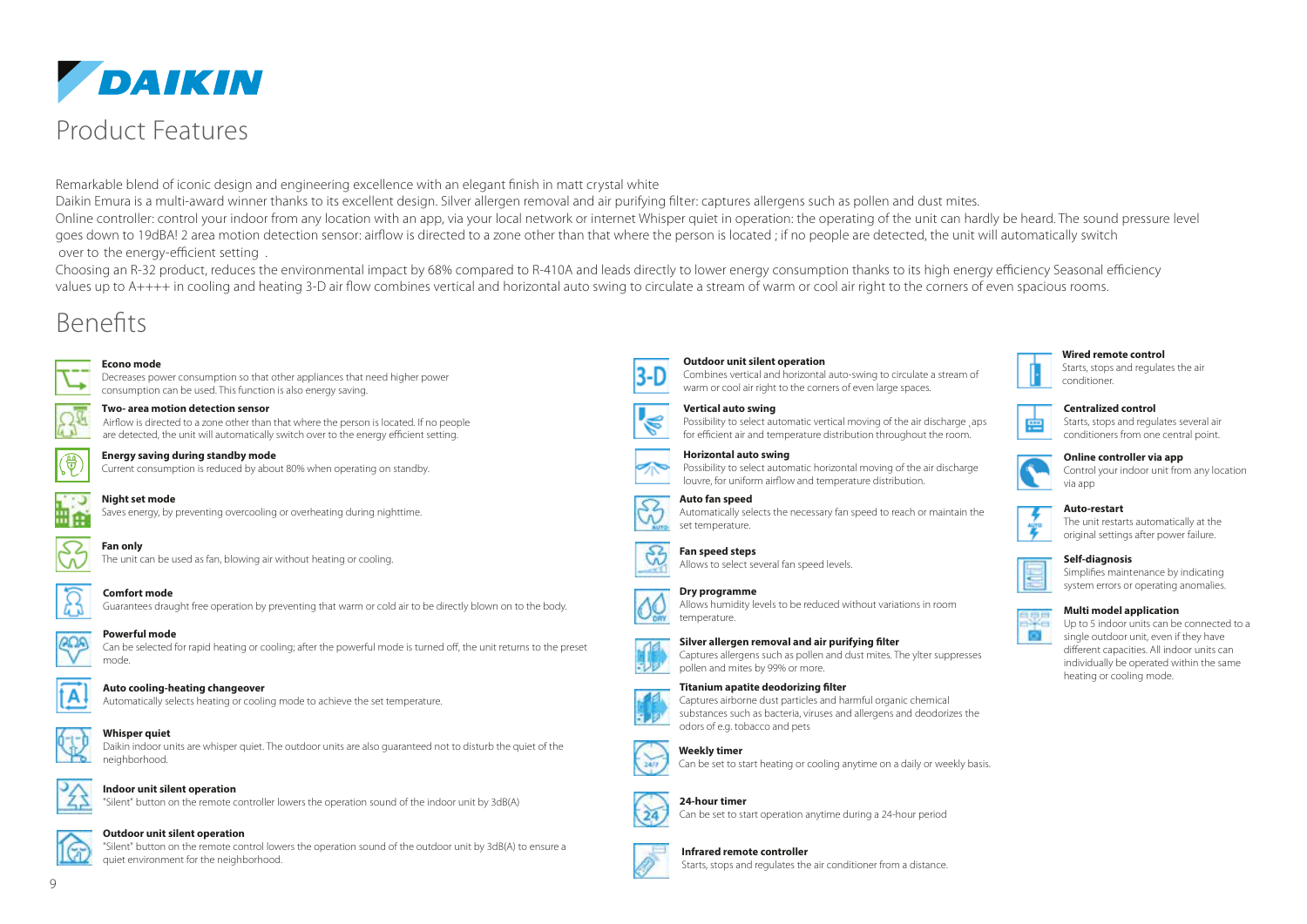

### Product Features

Remarkable blend of iconic design and engineering excellence with an elegant finish in matt crystal white

Daikin Emura is a multi-award winner thanks to its excellent design. Silver allergen removal and air purifying filter: captures allergens such as pollen and dust mites. Online controller: control your indoor from any location with an app, via your local network or internet Whisper quiet in operation: the operating of the unit can hardly be heard. The sound pressure level goes down to 19dBA! 2 area motion detection sensor: airflow is directed to a zone other than that where the person is located ; if no people are detected, the unit will automatically switch over to the energy-efficient setting .

Choosing an R-32 product, reduces the environmental impact by 68% compared to R-410A and leads directly to lower energy consumption thanks to its high energy efficiency Seasonal efficiency values up to A++++ in cooling and heating 3-D air flow combines vertical and horizontal auto swing to circulate a stream of warm or cool air right to the corners of even spacious rooms.

### Benefits

### **Econo mode**

Decreases power consumption so that other appliances that need higher power consumption can be used. This function is also energy saving.



#### **Two- area motion detection sensor**

Airflow is directed to a zone other than that where the person is located. If no people are detected, the unit will automatically switch over to the energy efficient setting.



#### **Energy saving during standby mode**

Current consumption is reduced by about 80% when operating on standby.



#### **Night set mode**

Saves energy, by preventing overcooling or overheating during nighttime.



The unit can be used as fan, blowing air without heating or cooling.



**Comfort mode** Guarantees draught free operation by preventing that warm or cold air to be directly blown on to the body.

**Powerful mode** Can be selected for rapid heating or cooling; after the powerful mode is turned off, the unit returns to the preset mode.



### **Auto cooling-heating changeover**

Automatically selects heating or cooling mode to achieve the set temperature.



#### **Whisper quiet**

Daikin indoor units are whisper quiet. The outdoor units are also guaranteed not to disturb the quiet of the neighborhood.



#### **Indoor unit silent operation**

"Silent" button on the remote controller lowers the operation sound of the indoor unit by 3dB(A)

#### **Outdoor unit silent operation**

"Silent" button on the remote control lowers the operation sound of the outdoor unit by 3dB(A) to ensure a quiet environment for the neighborhood.



#### **Outdoor unit silent operation**

Combines vertical and horizontal auto-swing to circulate a stream of warm or cool air right to the corners of even large spaces.

#### **Vertical auto swing**



#### **Horizontal auto swing**

Possibility to select automatic horizontal moving of the air discharge louvre, for uniform airflow and temperature distribution.



#### **Auto fan speed**

Automatically selects the necessary fan speed to reach or maintain the set temperature.



**Dry programme** Allows humidity levels to be reduced without variations in room temperature.

#### **Silver allergen removal and air purifying filter**



#### **Titanium apatite deodorizing filter**





#### **Weekly timer**

Can be set to start heating or cooling anytime on a daily or weekly basis.



#### **24-hour timer**



#### **Infrared remote controller**

Starts, stops and regulates the air conditioner from a distance.



#### **Centralized control** Starts, stops and regulates several air



### **Online controller via app**

Control your indoor unit from any location

| Αu  |
|-----|
| Th  |
| ∩ri |

he unit restarts automatically at the riginal settings after power failure.

#### **Self-diagnosis**



#### **Multi model application**



Up to 5 indoor units can be connected to a single outdoor unit, even if they have different capacities. All indoor units can individually be operated within the same heating or cooling mode.



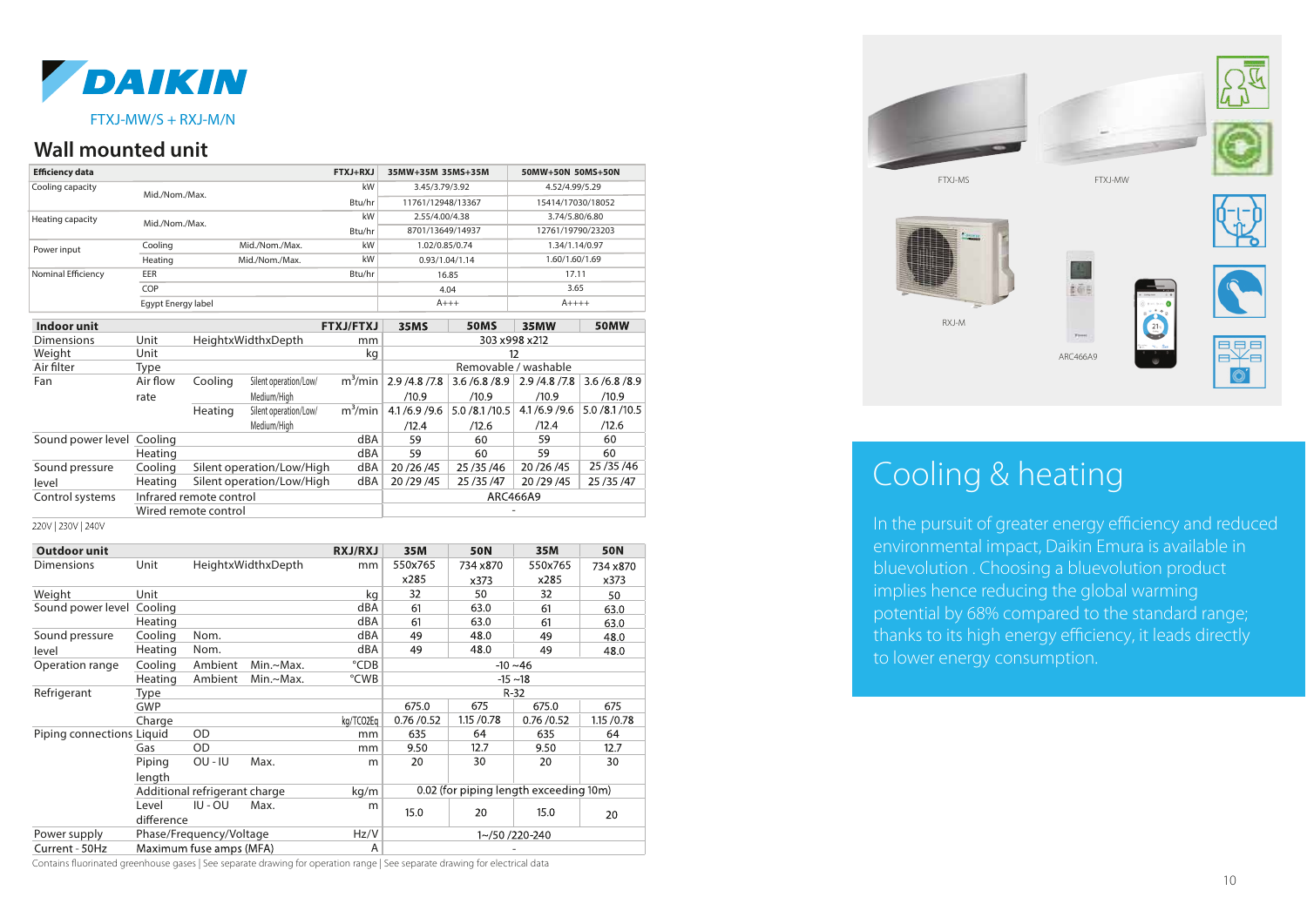

#### FTXJ-MW/S + RXJ-M/N

#### **Wall mounted unit**

| <b>Efficiency data</b>                             |                    |                | $FTXJ+RXJ$        | 35MW+35M 35MS+35M |              | 50MW+50N 50MS+50N |                |
|----------------------------------------------------|--------------------|----------------|-------------------|-------------------|--------------|-------------------|----------------|
| Cooling capacity                                   | Mid./Nom./Max.     |                | <b>kW</b>         | 3.45/3.79/3.92    |              | 4.52/4.99/5.29    |                |
|                                                    |                    |                | Btu/hr            | 11761/12948/13367 |              | 15414/17030/18052 |                |
| Heating capacity                                   | Mid./Nom./Max.     |                | <b>kW</b>         | 2.55/4.00/4.38    |              | 3.74/5.80/6.80    |                |
|                                                    |                    |                | Btu/hr            | 8701/13649/14937  |              | 12761/19790/23203 |                |
| Power input                                        | Cooling            | Mid./Nom./Max. | kW                | 1.02/0.85/0.74    |              | 1.34/1.14/0.97    |                |
|                                                    | Heating            | Mid./Nom./Max. | kW                | 0.93/1.04/1.14    |              | 1.60/1.60/1.69    |                |
| Nominal Efficiency                                 | EER                |                | Btu/hr            | 16.85             |              | 17.11             |                |
|                                                    | COP                |                |                   | 4.04              |              | 3.65              |                |
|                                                    | Egypt Energy label |                |                   | $A+++$            |              | $A$ ++++          |                |
| the collection of the collection of the collection |                    |                | <b>CEMILERVIL</b> | $5 - 88$          | <b>FOREC</b> | 20.58888          | <b>COBALAI</b> |

| Indoor unit               |          |                         |                           | <b>FTXJ/FTXJ</b> | 35MS            | <b>50MS</b>      | 35MW          | 50MW             |  |
|---------------------------|----------|-------------------------|---------------------------|------------------|-----------------|------------------|---------------|------------------|--|
| <b>Dimensions</b>         | Unit     |                         | HeightxWidthxDepth        | mm               | 303 x 998 x 212 |                  |               |                  |  |
| Weight                    | Unit     |                         |                           | kg               | 12              |                  |               |                  |  |
| Air filter                | Type     |                         | Removable / washable      |                  |                 |                  |               |                  |  |
| Fan                       | Air flow | Cooling                 | Silent operation/Low/     | $m^3/m$ in       | 2.9 / 4.8 / 7.8 | 3.6/6.8/8.9      | 2.9 /4.8 /7.8 | 3.6/6.8/8.9      |  |
|                           | rate     |                         | Medium/Hiah               |                  | /10.9           | /10.9            | /10.9         | /10.9            |  |
|                           |          | Heating                 | Silent operation/Low/     | $m^3/m$ in       | 4.1/6.9/9.6     | 5.0 / 8.1 / 10.5 | 4.1/6.9/9.6   | 5.0 / 8.1 / 10.5 |  |
|                           |          |                         | Medium/Hiah               |                  | /12.4           | /12.6            | /12.4         | /12.6            |  |
| Sound power level Cooling |          |                         |                           | dBA              | 59              | 60               | 59            | 60               |  |
|                           | Heating  |                         |                           | dBA              | 59              | 60               | 59            | 60               |  |
| Sound pressure            | Cooling  |                         | Silent operation/Low/High | dBA              | 20 / 26 / 45    | 25/35/46         | 20 / 26 / 45  | 25/35/46         |  |
| level                     | Heating  |                         | Silent operation/Low/High | dBA              | 20 / 29 / 45    | 25/35/47         | 20/29/45      | 25/35/47         |  |
| Control systems           |          | Infrared remote control |                           |                  | ARC466A9        |                  |               |                  |  |
|                           |          | Wired remote control    |                           |                  |                 |                  |               |                  |  |
|                           |          |                         |                           |                  |                 |                  |               |                  |  |

220V | 230V | 240V

| Outdoor unit              |            |                               |           | <b>RXJ/RXJ</b> | 35M                                    | <b>50N</b>  | 35M       | <b>50N</b>  |  |
|---------------------------|------------|-------------------------------|-----------|----------------|----------------------------------------|-------------|-----------|-------------|--|
| Dimensions                | Unit       | HeightxWidthxDepth            |           | mm             | 550x765                                | 734 x870    | 550x765   | 734 x870    |  |
|                           |            |                               |           | x285           | x373                                   | x285        | x373      |             |  |
| Weight                    | Unit       |                               |           | kg             | 32                                     | 50          | 32        | 50          |  |
| Sound power level         | Cooling    |                               |           | dBA            | 61                                     | 63.0        | 61        | 63.0        |  |
|                           | Heating    |                               |           | dBA            | 61                                     | 63.0        | 61        | 63.0        |  |
| Sound pressure            | Cooling    | Nom.                          |           | dBA            | 49                                     | 48.0        | 49        | 48.0        |  |
| level                     | Heating    | Nom.                          |           | dBA            | 49                                     | 48.0        | 49        | 48.0        |  |
| Operation range           | Cooling    | Ambient                       | Min.~Max. | °CDB           | $-10 - 46$                             |             |           |             |  |
|                           | Heating    | Ambient                       | Min.~Max. | °CWB           | $-15 \sim 18$                          |             |           |             |  |
| Refrigerant               | Type       |                               |           |                | $R-32$                                 |             |           |             |  |
|                           | <b>GWP</b> |                               |           |                | 675.0                                  | 675         | 675.0     | 675         |  |
|                           | Charge     |                               |           | kg/TCO2Eg      | 0.76 / 0.52                            | 1.15 / 0.78 | 0.76/0.52 | 1.15 / 0.78 |  |
| Piping connections Liquid |            | OD                            |           | mm             | 635                                    | 64          | 635       | 64          |  |
|                           | Gas        | OD                            |           | mm             | 9.50                                   | 12.7        | 9.50      | 12.7        |  |
|                           | Piping     | OU - IU                       | Max.      | m              | 20                                     | 30          | 20        | 30          |  |
|                           | length     |                               |           |                |                                        |             |           |             |  |
|                           |            | Additional refrigerant charge |           | kg/m           | 0.02 (for piping length exceeding 10m) |             |           |             |  |
|                           | Level      | IU - OU<br>Max.               |           | m              | 15.0                                   | 20          | 15.0      |             |  |
|                           | difference |                               |           |                |                                        |             | 20        |             |  |
| Power supply              |            | Phase/Frequency/Voltage       |           | Hz/V           | 1~/50 /220-240                         |             |           |             |  |
| Current - 50Hz            |            | Maximum fuse amps (MFA)       |           | A              |                                        |             |           |             |  |





ARC466A9



### Cooling & heating

RXJ-M

In the pursuit of greater energy efficiency and reduced environmental impact, Daikin Emura is available in bluevolution . Choosing a bluevolution product implies hence reducing the global warming potential by 68% compared to the standard range; thanks to its high energy efficiency, it leads directly to lower energy consumption.

Contains fluorinated greenhouse gases | See separate drawing for operation range | See separate drawing for electrical data